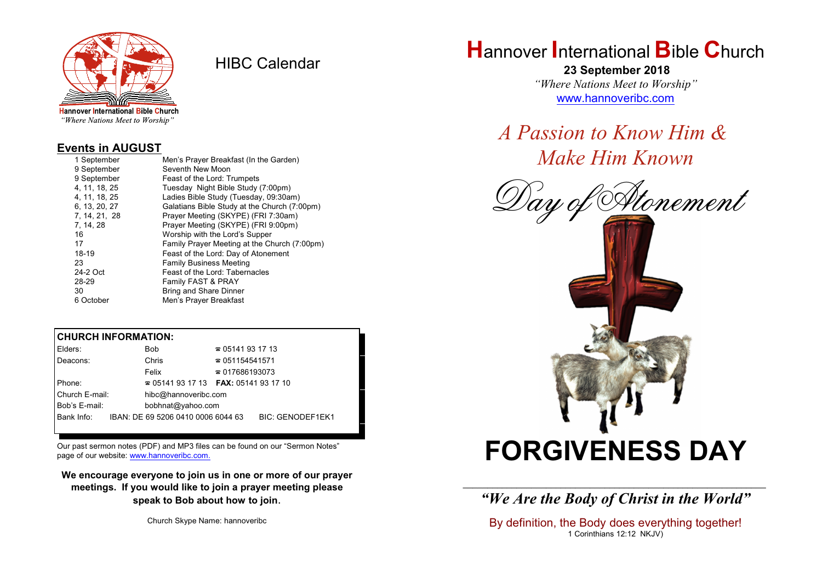

HIBC Calendar

# "Where Nations Meet to Worship"

### **Events in AUGUST**

| 1 September   | Men's Prayer Breakfast (In the Garden)       |
|---------------|----------------------------------------------|
| 9 September   | Seventh New Moon                             |
| 9 September   | Feast of the Lord: Trumpets                  |
| 4, 11, 18, 25 | Tuesday Night Bible Study (7:00pm)           |
| 4. 11. 18. 25 | Ladies Bible Study (Tuesday, 09:30am)        |
| 6, 13, 20, 27 | Galatians Bible Study at the Church (7:00pm) |
| 7, 14, 21, 28 | Prayer Meeting (SKYPE) (FRI 7:30am)          |
| 7, 14, 28     | Prayer Meeting (SKYPE) (FRI 9:00pm)          |
| 16            | Worship with the Lord's Supper               |
| 17            | Family Prayer Meeting at the Church (7:00pm) |
| 18-19         | Feast of the Lord: Day of Atonement          |
| 23            | <b>Family Business Meeting</b>               |
| 24-2 Oct      | Feast of the Lord: Tabernacles               |
| 28-29         | Family FAST & PRAY                           |
| 30            | <b>Bring and Share Dinner</b>                |
| 6 October     | Men's Prayer Breakfast                       |

#### **CHURCH INFORMATION:**

| Elders:        | Bob                                      | $\approx 05141931713$  |                         |
|----------------|------------------------------------------|------------------------|-------------------------|
| Deacons:       | Chris                                    | $\approx 051154541571$ |                         |
|                | Felix                                    | $\approx 017686193073$ |                         |
| Phone:         | $\approx 05141931713$ FAX: 0514193 17 10 |                        |                         |
| Church E-mail: | hibc@hannoveribc.com                     |                        |                         |
| Bob's E-mail:  | bobhnat@yahoo.com                        |                        |                         |
| Bank Info:     | IBAN: DE 69 5206 0410 0006 6044 63       |                        | <b>BIC: GENODEF1EK1</b> |

Our past sermon notes (PDF) and MP3 files can be found on our "Sermon Notes" page of our website: [www.hannoveribc.com.](http://www.hannoveribc.com.)

**We encourage everyone to join us in one or more of our prayer meetings. If you would like to join a prayer meeting please speak to Bob about how to join**.

Church Skype Name: hannoveribc

# **H**annover **I**nternational **B**ible **C**hurch

 **23 September 2018** *"Where Nations Meet to Worship"* [www.hannoveribc.com](http://www.hannoveribc.com)

*A Passion to Know Him & Make Him Known*





\_\_\_\_\_\_\_\_\_\_\_\_\_\_\_\_\_\_\_\_\_\_\_\_\_\_\_\_\_\_\_\_\_\_\_\_\_\_\_\_\_\_\_\_\_\_\_\_\_\_\_\_\_\_\_\_\_\_\_\_\_\_ *"We Are the Body of Christ in the World"*

By definition, the Body does everything together! 1 Corinthians 12:12 NKJV)